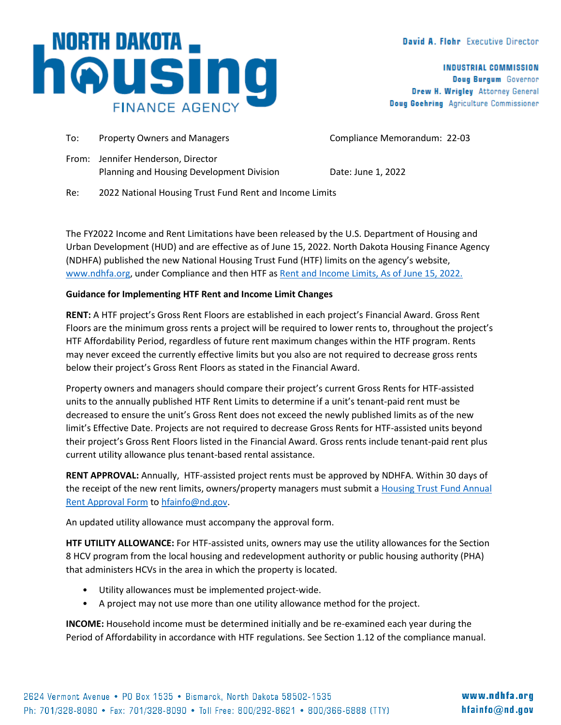## David A. Flohr Executive Director

**INDUSTRIAL COMMISSION** Doug Burgum Governor Drew H. Wrigley Attorney General Doug Goehring Agriculture Commissioner

To: Property Owners and Managers The Compliance Memorandum: 22-03 From: Jennifer Henderson, Director Planning and Housing Development Division Date: June 1, 2022 Re: 2022 National Housing Trust Fund Rent and Income Limits

The FY2022 Income and Rent Limitations have been released by the U.S. Department of Housing and Urban Development (HUD) and are effective as of June 15, 2022. North Dakota Housing Finance Agency (NDHFA) published the new National Housing Trust Fund (HTF) limits on the agency's website, [www.ndhfa.org,](http://www.ndhfa.org/) under Compliance and then HTF a[s Rent and Income Limits, As of June 15, 2022.](https://www.ndhfa.org/wp-content/uploads/2022/05/HTFLimits06.15.2022.pdf) 

## **Guidance for Implementing HTF Rent and Income Limit Changes**

**RENT:** A HTF project's Gross Rent Floors are established in each project's Financial Award. Gross Rent Floors are the minimum gross rents a project will be required to lower rents to, throughout the project's HTF Affordability Period, regardless of future rent maximum changes within the HTF program. Rents may never exceed the currently effective limits but you also are not required to decrease gross rents below their project's Gross Rent Floors as stated in the Financial Award.

Property owners and managers should compare their project's current Gross Rents for HTF-assisted units to the annually published HTF Rent Limits to determine if a unit's tenant-paid rent must be decreased to ensure the unit's Gross Rent does not exceed the newly published limits as of the new limit's Effective Date. Projects are not required to decrease Gross Rents for HTF-assisted units beyond their project's Gross Rent Floors listed in the Financial Award. Gross rents include tenant-paid rent plus current utility allowance plus tenant-based rental assistance.

**RENT APPROVAL:** Annually, HTF-assisted project rents must be approved by NDHFA. Within 30 days of the receipt of the new rent limits, owners/property managers must submit a [Housing Trust Fund Annual](mailto:Housing%20Trust%20Fund%20Annual%20Rent%20Approval%20Form)  [Rent Approval Form](mailto:Housing%20Trust%20Fund%20Annual%20Rent%20Approval%20Form) to [hfainfo@nd.gov.](mailto:hfainfo@nd.gov)

An updated utility allowance must accompany the approval form.

**HTF UTILITY ALLOWANCE:** For HTF-assisted units, owners may use the utility allowances for the Section 8 HCV program from the local housing and redevelopment authority or public housing authority (PHA) that administers HCVs in the area in which the property is located.

- Utility allowances must be implemented project-wide.
- A project may not use more than one utility allowance method for the project.

**INCOME:** Household income must be determined initially and be re-examined each year during the Period of Affordability in accordance with HTF regulations. See Section 1.12 of the compliance manual.